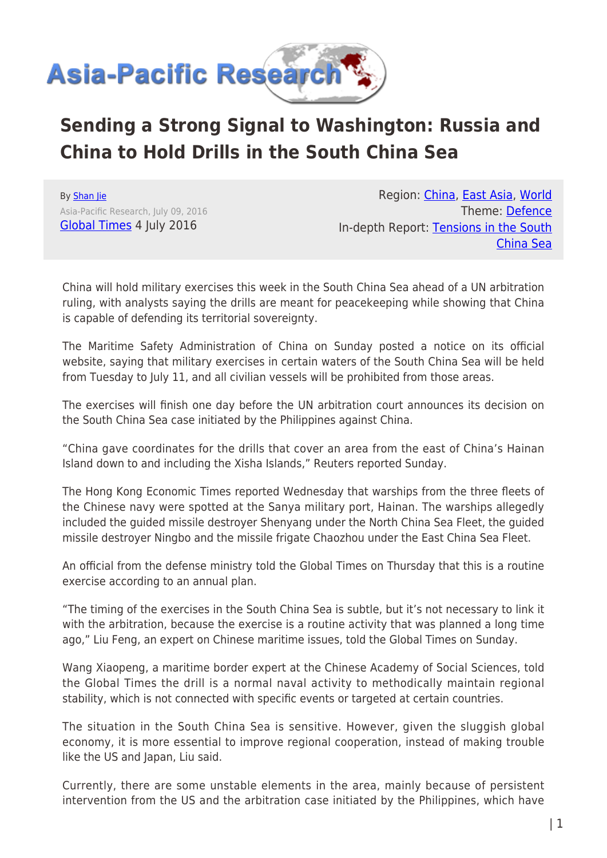

## **Sending a Strong Signal to Washington: Russia and China to Hold Drills in the South China Sea**

By [Shan Jie](https://www.asia-pacificresearch.com/author/shan-jie) Asia-Pacific Research, July 09, 2016 [Global Times](http://www.globaltimes.cn/) 4 July 2016

Region: [China,](https://www.asia-pacificresearch.com/region/china) [East Asia](https://www.asia-pacificresearch.com/region/east-asia), [World](https://www.asia-pacificresearch.com/region/world) Theme: [Defence](https://www.asia-pacificresearch.com/theme/defence) In-depth Report: [Tensions in the South](https://www.asia-pacificresearch.com/indepthreport/tensions-in-the-south-china-sea) [China Sea](https://www.asia-pacificresearch.com/indepthreport/tensions-in-the-south-china-sea)

China will hold military exercises this week in the South China Sea ahead of a UN arbitration ruling, with analysts saying the drills are meant for peacekeeping while showing that China is capable of defending its territorial sovereignty.

The Maritime Safety Administration of China on Sunday posted a notice on its official website, saying that military exercises in certain waters of the South China Sea will be held from Tuesday to July 11, and all civilian vessels will be prohibited from those areas.

The exercises will finish one day before the UN arbitration court announces its decision on the South China Sea case initiated by the Philippines against China.

"China gave coordinates for the drills that cover an area from the east of China's Hainan Island down to and including the Xisha Islands," Reuters reported Sunday.

The Hong Kong Economic Times reported Wednesday that warships from the three fleets of the Chinese navy were spotted at the Sanya military port, Hainan. The warships allegedly included the guided missile destroyer Shenyang under the North China Sea Fleet, the guided missile destroyer Ningbo and the missile frigate Chaozhou under the East China Sea Fleet.

An official from the defense ministry told the Global Times on Thursday that this is a routine exercise according to an annual plan.

"The timing of the exercises in the South China Sea is subtle, but it's not necessary to link it with the arbitration, because the exercise is a routine activity that was planned a long time ago," Liu Feng, an expert on Chinese maritime issues, told the Global Times on Sunday.

Wang Xiaopeng, a maritime border expert at the Chinese Academy of Social Sciences, told the Global Times the drill is a normal naval activity to methodically maintain regional stability, which is not connected with specific events or targeted at certain countries.

The situation in the South China Sea is sensitive. However, given the sluggish global economy, it is more essential to improve regional cooperation, instead of making trouble like the US and Japan, Liu said.

Currently, there are some unstable elements in the area, mainly because of persistent intervention from the US and the arbitration case initiated by the Philippines, which have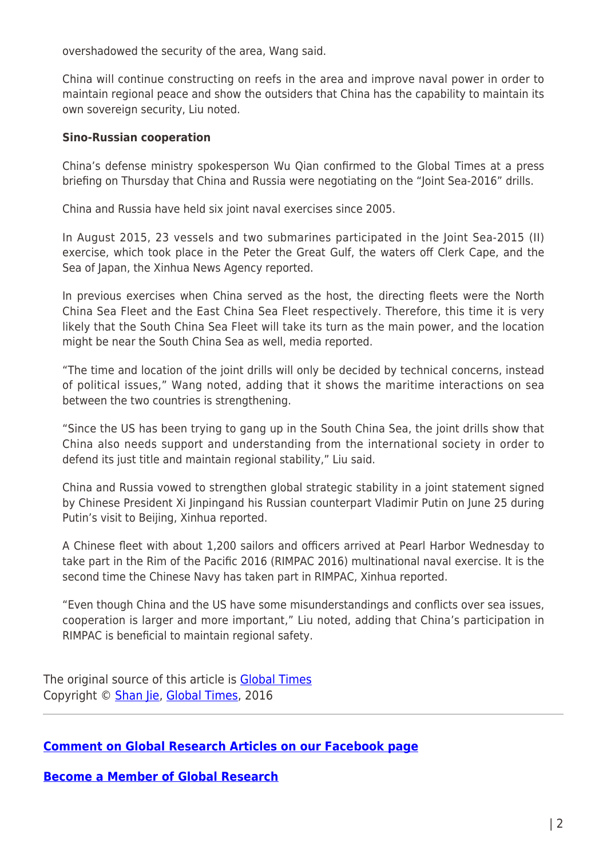overshadowed the security of the area, Wang said.

China will continue constructing on reefs in the area and improve naval power in order to maintain regional peace and show the outsiders that China has the capability to maintain its own sovereign security, Liu noted.

## **Sino-Russian cooperation**

China's defense ministry spokesperson Wu Qian confirmed to the Global Times at a press briefing on Thursday that China and Russia were negotiating on the "Joint Sea-2016" drills.

China and Russia have held six joint naval exercises since 2005.

In August 2015, 23 vessels and two submarines participated in the Joint Sea-2015 (II) exercise, which took place in the Peter the Great Gulf, the waters off Clerk Cape, and the Sea of Japan, the Xinhua News Agency reported.

In previous exercises when China served as the host, the directing fleets were the North China Sea Fleet and the East China Sea Fleet respectively. Therefore, this time it is very likely that the South China Sea Fleet will take its turn as the main power, and the location might be near the South China Sea as well, media reported.

"The time and location of the joint drills will only be decided by technical concerns, instead of political issues," Wang noted, adding that it shows the maritime interactions on sea between the two countries is strengthening.

"Since the US has been trying to gang up in the South China Sea, the joint drills show that China also needs support and understanding from the international society in order to defend its just title and maintain regional stability," Liu said.

China and Russia vowed to strengthen global strategic stability in a joint statement signed by Chinese President Xi Jinpingand his Russian counterpart Vladimir Putin on June 25 during Putin's visit to Beijing, Xinhua reported.

A Chinese fleet with about 1,200 sailors and officers arrived at Pearl Harbor Wednesday to take part in the Rim of the Pacific 2016 (RIMPAC 2016) multinational naval exercise. It is the second time the Chinese Navy has taken part in RIMPAC, Xinhua reported.

"Even though China and the US have some misunderstandings and conflicts over sea issues, cooperation is larger and more important," Liu noted, adding that China's participation in RIMPAC is beneficial to maintain regional safety.

The original source of this article is **[Global Times](http://www.globaltimes.cn/)** Copyright © [Shan Jie](https://www.asia-pacificresearch.com/author/shan-jie), [Global Times](http://www.globaltimes.cn/), 2016

## **[Comment on Global Research Articles on our Facebook page](https://www.facebook.com/GlobalResearchCRG)**

**[Become a Member of Global Research](https://store.globalresearch.ca/member/)**